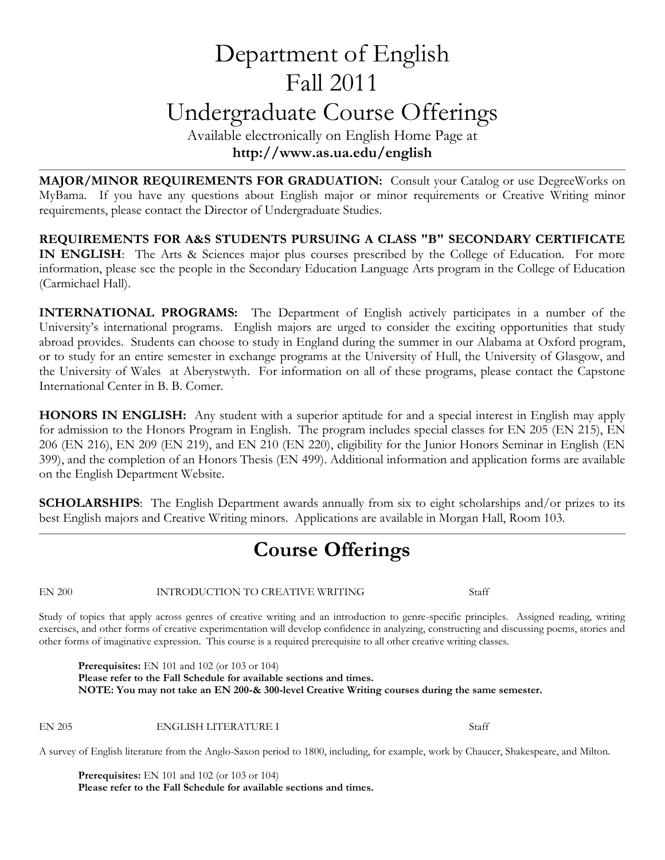# Department of English Fall 2011 Undergraduate Course Offerings

Available electronically on English Home Page at **http://www.as.ua.edu/english**

**MAJOR/MINOR REQUIREMENTS FOR GRADUATION:** Consult your Catalog or use DegreeWorks on MyBama. If you have any questions about English major or minor requirements or Creative Writing minor requirements, please contact the Director of Undergraduate Studies.

**REQUIREMENTS FOR A&S STUDENTS PURSUING A CLASS "B" SECONDARY CERTIFICATE IN ENGLISH**: The Arts & Sciences major plus courses prescribed by the College of Education. For more information, please see the people in the Secondary Education Language Arts program in the College of Education (Carmichael Hall).

**INTERNATIONAL PROGRAMS:** The Department of English actively participates in a number of the University's international programs. English majors are urged to consider the exciting opportunities that study abroad provides. Students can choose to study in England during the summer in our Alabama at Oxford program, or to study for an entire semester in exchange programs at the University of Hull, the University of Glasgow, and the University of Wales at Aberystwyth. For information on all of these programs, please contact the Capstone International Center in B. B. Comer.

**HONORS IN ENGLISH:** Any student with a superior aptitude for and a special interest in English may apply for admission to the Honors Program in English. The program includes special classes for EN 205 (EN 215), EN 206 (EN 216), EN 209 (EN 219), and EN 210 (EN 220), eligibility for the Junior Honors Seminar in English (EN 399), and the completion of an Honors Thesis (EN 499). Additional information and application forms are available on the English Department Website.

**SCHOLARSHIPS**: The English Department awards annually from six to eight scholarships and/or prizes to its best English majors and Creative Writing minors. Applications are available in Morgan Hall, Room 103.

## **Course Offerings**

EN 200 INTRODUCTION TO CREATIVE WRITING Staff

Study of topics that apply across genres of creative writing and an introduction to genre-specific principles. Assigned reading, writing exercises, and other forms of creative experimentation will develop confidence in analyzing, constructing and discussing poems, stories and other forms of imaginative expression. This course is a required prerequisite to all other creative writing classes.

**Prerequisites:** EN 101 and 102 (or 103 or 104) **Please refer to the Fall Schedule for available sections and times. NOTE: You may not take an EN 200-& 300-level Creative Writing courses during the same semester.**

EN 205 ENGLISH LITERATURE I Staff

A survey of English literature from the Anglo-Saxon period to 1800, including, for example, work by Chaucer, Shakespeare, and Milton.

**Prerequisites:** EN 101 and 102 (or 103 or 104) **Please refer to the Fall Schedule for available sections and times.**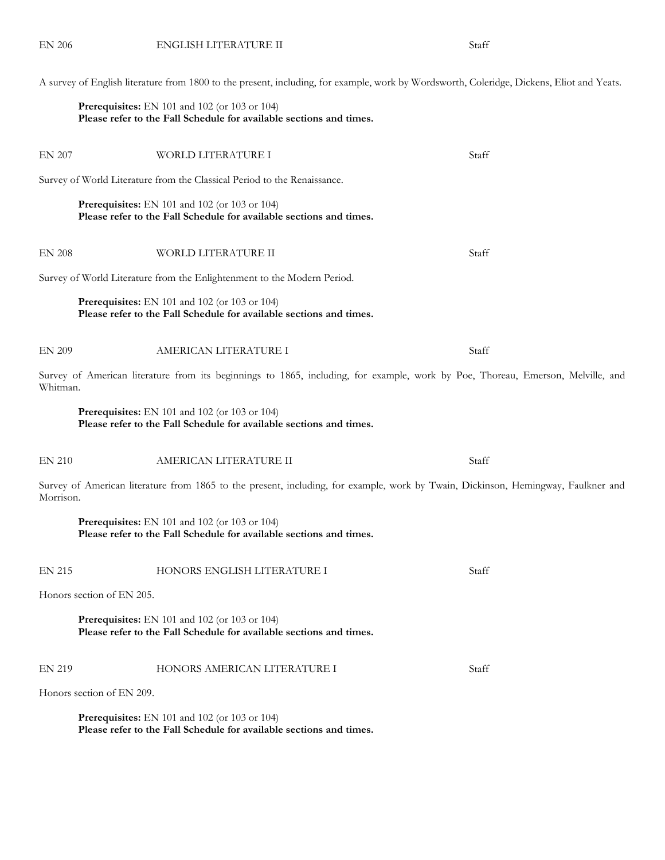A survey of English literature from 1800 to the present, including, for example, work by Wordsworth, Coleridge, Dickens, Eliot and Yeats.

#### **Prerequisites:** EN 101 and 102 (or 103 or 104) **Please refer to the Fall Schedule for available sections and times.**

| <b>EN 207</b> | WORLD LITERATURE I                                                                                                                | Staff |
|---------------|-----------------------------------------------------------------------------------------------------------------------------------|-------|
|               | Survey of World Literature from the Classical Period to the Renaissance.                                                          |       |
|               | Prerequisites: EN 101 and 102 (or 103 or 104)<br>Please refer to the Fall Schedule for available sections and times.              |       |
| <b>EN 208</b> | WORLD LITERATURE II                                                                                                               | Staff |
|               | Survey of World Literature from the Enlightenment to the Modern Period.                                                           |       |
|               | Prerequisites: EN 101 and 102 (or 103 or 104)<br>Please refer to the Fall Schedule for available sections and times.              |       |
| <b>EN 209</b> | AMERICAN LITERATURE I                                                                                                             | Staff |
| Whitman.      | Survey of American literature from its beginnings to 1865, including, for example, work by Poe, Thoreau, Emerson, Melville, and   |       |
|               | Prerequisites: EN 101 and 102 (or 103 or 104)<br>Please refer to the Fall Schedule for available sections and times.              |       |
| <b>EN 210</b> | AMERICAN LITERATURE II                                                                                                            | Staff |
| Morrison.     | Survey of American literature from 1865 to the present, including, for example, work by Twain, Dickinson, Hemingway, Faulkner and |       |
|               | Prerequisites: EN 101 and 102 (or 103 or 104)<br>Please refer to the Fall Schedule for available sections and times.              |       |
| <b>EN 215</b> | HONORS ENGLISH LITERATURE I                                                                                                       | Staff |
|               | Honors section of EN 205.                                                                                                         |       |
|               | <b>Prerequisites:</b> EN 101 and 102 (or 103 or 104)<br>Please refer to the Fall Schedule for available sections and times.       |       |
| <b>EN 219</b> | HONORS AMERICAN LITERATURE I                                                                                                      | Staff |
|               | Honors section of EN 209.                                                                                                         |       |
|               | Prerequisites: EN 101 and 102 (or 103 or 104)                                                                                     |       |

**Please refer to the Fall Schedule for available sections and times.**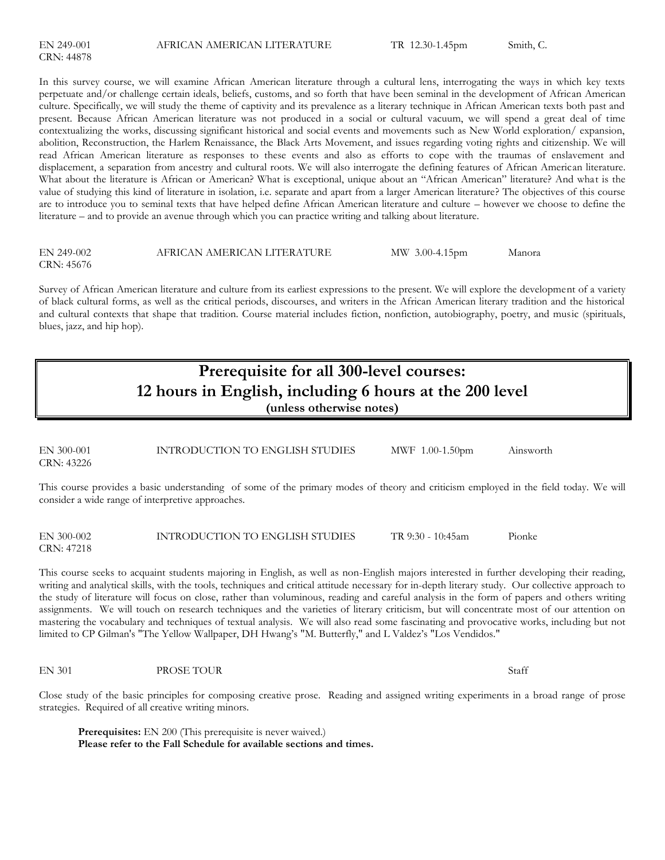In this survey course, we will examine African American literature through a cultural lens, interrogating the ways in which key texts perpetuate and/or challenge certain ideals, beliefs, customs, and so forth that have been seminal in the development of African American culture. Specifically, we will study the theme of captivity and its prevalence as a literary technique in African American texts both past and present. Because African American literature was not produced in a social or cultural vacuum, we will spend a great deal of time contextualizing the works, discussing significant historical and social events and movements such as New World exploration/ expansion, abolition, Reconstruction, the Harlem Renaissance, the Black Arts Movement, and issues regarding voting rights and citizenship. We will read African American literature as responses to these events and also as efforts to cope with the traumas of enslavement and displacement, a separation from ancestry and cultural roots. We will also interrogate the defining features of African American literature. What about the literature is African or American? What is exceptional, unique about an "African American" literature? And what is the value of studying this kind of literature in isolation, i.e. separate and apart from a larger American literature? The objectives of this course are to introduce you to seminal texts that have helped define African American literature and culture – however we choose to define the literature – and to provide an avenue through which you can practice writing and talking about literature.

| EN 249-002 | AFRICAN AMERICAN LITERATURE | MW 3.00-4.15pm | Manora |
|------------|-----------------------------|----------------|--------|
| CRN: 45676 |                             |                |        |

Survey of African American literature and culture from its earliest expressions to the present. We will explore the development of a variety of black cultural forms, as well as the critical periods, discourses, and writers in the African American literary tradition and the historical and cultural contexts that shape that tradition. Course material includes fiction, nonfiction, autobiography, poetry, and music (spirituals, blues, jazz, and hip hop).

### **Prerequisite for all 300-level courses: 12 hours in English, including 6 hours at the 200 level (unless otherwise notes)**

EN 300-001 INTRODUCTION TO ENGLISH STUDIES MWF 1.00-1.50pm Ainsworth CRN: 43226

This course provides a basic understanding of some of the primary modes of theory and criticism employed in the field today. We will consider a wide range of interpretive approaches.

EN 300-002 INTRODUCTION TO ENGLISH STUDIES TR 9:30 - 10:45am Pionke CRN: 47218

This course seeks to acquaint students majoring in English, as well as non-English majors interested in further developing their reading, writing and analytical skills, with the tools, techniques and critical attitude necessary for in-depth literary study. Our collective approach to the study of literature will focus on close, rather than voluminous, reading and careful analysis in the form of papers and others writing assignments. We will touch on research techniques and the varieties of literary criticism, but will concentrate most of our attention on mastering the vocabulary and techniques of textual analysis. We will also read some fascinating and provocative works, including but not limited to CP Gilman's "The Yellow Wallpaper, DH Hwang's "M. Butterfly," and L Valdez's "Los Vendidos."

EN 301 PROSE TOUR Staff

Close study of the basic principles for composing creative prose. Reading and assigned writing experiments in a broad range of prose strategies. Required of all creative writing minors.

**Prerequisites:** EN 200 (This prerequisite is never waived.) **Please refer to the Fall Schedule for available sections and times.**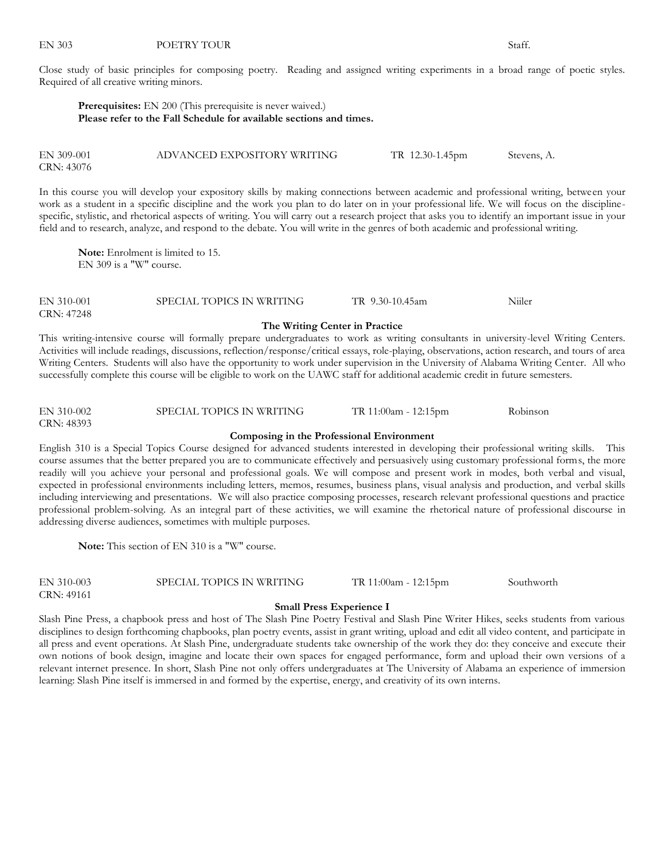Close study of basic principles for composing poetry. Reading and assigned writing experiments in a broad range of poetic styles. Required of all creative writing minors.

**Prerequisites:** EN 200 (This prerequisite is never waived.) **Please refer to the Fall Schedule for available sections and times.**

| EN 309-001 | ADVANCED EXPOSITORY WRITING | TR 12.30-1.45pm | Stevens, A. |
|------------|-----------------------------|-----------------|-------------|
| CRN: 43076 |                             |                 |             |

In this course you will develop your expository skills by making connections between academic and professional writing, between your work as a student in a specific discipline and the work you plan to do later on in your professional life. We will focus on the disciplinespecific, stylistic, and rhetorical aspects of writing. You will carry out a research project that asks you to identify an important issue in your field and to research, analyze, and respond to the debate. You will write in the genres of both academic and professional writing.

**Note:** Enrolment is limited to 15. EN 309 is a "W" course.

EN 310-001 SPECIAL TOPICS IN WRITING TR 9.30-10.45am Niiler CRN: 47248

#### **The Writing Center in Practice**

This writing-intensive course will formally prepare undergraduates to work as writing consultants in university-level Writing Centers. Activities will include readings, discussions, reflection/response/critical essays, role-playing, observations, action research, and tours of area Writing Centers. Students will also have the opportunity to work under supervision in the University of Alabama Writing Center. All who successfully complete this course will be eligible to work on the UAWC staff for additional academic credit in future semesters.

EN 310-002 SPECIAL TOPICS IN WRITING TR 11:00am - 12:15pm Robinson CRN: 48393

#### **Composing in the Professional Environment**

English 310 is a Special Topics Course designed for advanced students interested in developing their professional writing skills. This course assumes that the better prepared you are to communicate effectively and persuasively using customary professional forms, the more readily will you achieve your personal and professional goals. We will compose and present work in modes, both verbal and visual, expected in professional environments including letters, memos, resumes, business plans, visual analysis and production, and verbal skills including interviewing and presentations. We will also practice composing processes, research relevant professional questions and practice professional problem-solving. As an integral part of these activities, we will examine the rhetorical nature of professional discourse in addressing diverse audiences, sometimes with multiple purposes.

**Note:** This section of EN 310 is a "W" course.

EN 310-003 SPECIAL TOPICS IN WRITING TR 11:00am - 12:15pm Southworth CRN: 49161

#### **Small Press Experience I**

Slash Pine Press, a chapbook press and host of The Slash Pine Poetry Festival and Slash Pine Writer Hikes, seeks students from various disciplines to design forthcoming chapbooks, plan poetry events, assist in grant writing, upload and edit all video content, and participate in all press and event operations. At Slash Pine, undergraduate students take ownership of the work they do: they conceive and execute their own notions of book design, imagine and locate their own spaces for engaged performance, form and upload their own versions of a relevant internet presence. In short, Slash Pine not only offers undergraduates at The University of Alabama an experience of immersion learning: Slash Pine itself is immersed in and formed by the expertise, energy, and creativity of its own interns.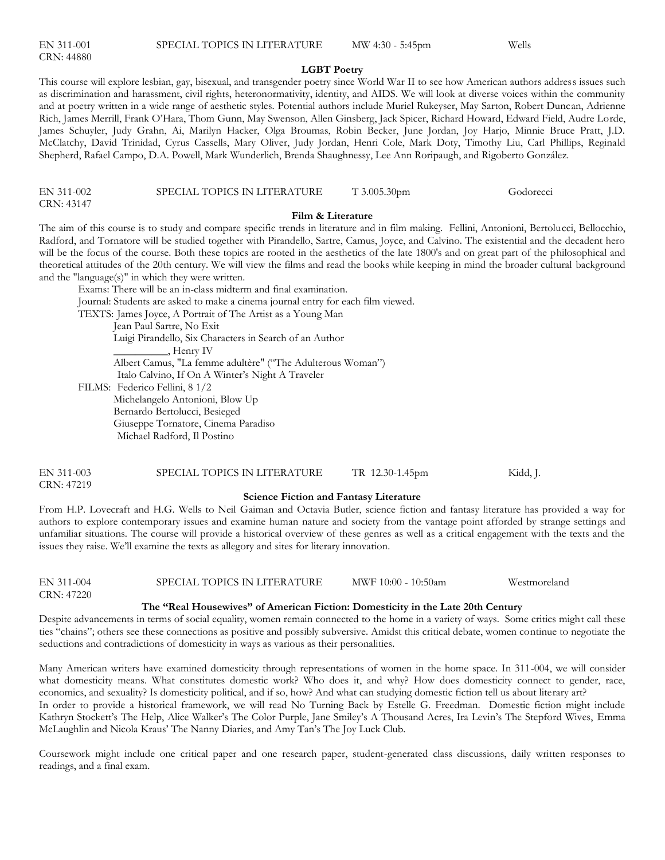| EN 311-001 |  |
|------------|--|
| CRN: 44880 |  |

#### **LGBT Poetry**

This course will explore lesbian, gay, bisexual, and transgender poetry since World War II to see how American authors address issues such as discrimination and harassment, civil rights, heteronormativity, identity, and AIDS. We will look at diverse voices within the community and at poetry written in a wide range of aesthetic styles. Potential authors include Muriel Rukeyser, May Sarton, Robert Duncan, Adrienne Rich, James Merrill, Frank O'Hara, Thom Gunn, May Swenson, Allen Ginsberg, Jack Spicer, Richard Howard, Edward Field, Audre Lorde, James Schuyler, Judy Grahn, Ai, Marilyn Hacker, Olga Broumas, Robin Becker, June Jordan, Joy Harjo, Minnie Bruce Pratt, J.D. McClatchy, David Trinidad, Cyrus Cassells, Mary Oliver, Judy Jordan, Henri Cole, Mark Doty, Timothy Liu, Carl Phillips, Reginald Shepherd, Rafael Campo, D.A. Powell, Mark Wunderlich, Brenda Shaughnessy, Lee Ann Roripaugh, and Rigoberto González.

| EN 311-002 | SPECIAL TOPICS IN LITERATURE | $T\,3.005.30$ pm | Godorecci |
|------------|------------------------------|------------------|-----------|
| CRN: 43147 |                              |                  |           |

#### **Film & Literature**

The aim of this course is to study and compare specific trends in literature and in film making. Fellini, Antonioni, Bertolucci, Bellocchio, Radford, and Tornatore will be studied together with Pirandello, Sartre, Camus, Joyce, and Calvino. The existential and the decadent hero will be the focus of the course. Both these topics are rooted in the aesthetics of the late 1800's and on great part of the philosophical and theoretical attitudes of the 20th century. We will view the films and read the books while keeping in mind the broader cultural background and the "language(s)" in which they were written.

Exams: There will be an in-class midterm and final examination.

Journal: Students are asked to make a cinema journal entry for each film viewed.

TEXTS: James Joyce, A Portrait of The Artist as a Young Man

Jean Paul Sartre, No Exit

 Luigi Pirandello, Six Characters in Search of an Author \_\_\_\_\_\_\_\_\_\_, Henry IV

Albert Camus, "La femme adultère" ("The Adulterous Woman")

Italo Calvino, If On A Winter's Night A Traveler

FILMS: Federico Fellini, 8 1/2 Michelangelo Antonioni, Blow Up

Bernardo Bertolucci, Besieged

Giuseppe Tornatore, Cinema Paradiso

Michael Radford, Il Postino

| EN 311-003 | SPECIAL TOPICS IN LITERATURE | TR 12.30-1.45pm | Kidd, J. |
|------------|------------------------------|-----------------|----------|
| CRN: 47219 |                              |                 |          |

#### **Science Fiction and Fantasy Literature**

From H.P. Lovecraft and H.G. Wells to Neil Gaiman and Octavia Butler, science fiction and fantasy literature has provided a way for authors to explore contemporary issues and examine human nature and society from the vantage point afforded by strange settings and unfamiliar situations. The course will provide a historical overview of these genres as well as a critical engagement with the texts and the issues they raise. We'll examine the texts as allegory and sites for literary innovation.

| EN 311-004 | SPECIAL TOPICS IN LITERATURE | MWF 10:00 - 10:50am | Westmoreland |
|------------|------------------------------|---------------------|--------------|
| CRN: 47220 |                              |                     |              |

#### **The "Real Housewives" of American Fiction: Domesticity in the Late 20th Century**

Despite advancements in terms of social equality, women remain connected to the home in a variety of ways. Some critics might call these ties "chains"; others see these connections as positive and possibly subversive. Amidst this critical debate, women continue to negotiate the seductions and contradictions of domesticity in ways as various as their personalities.

Many American writers have examined domesticity through representations of women in the home space. In 311-004, we will consider what domesticity means. What constitutes domestic work? Who does it, and why? How does domesticity connect to gender, race, economics, and sexuality? Is domesticity political, and if so, how? And what can studying domestic fiction tell us about literary art?

In order to provide a historical framework, we will read No Turning Back by Estelle G. Freedman. Domestic fiction might include Kathryn Stockett's The Help, Alice Walker's The Color Purple, Jane Smiley's A Thousand Acres, Ira Levin's The Stepford Wives, Emma McLaughlin and Nicola Kraus' The Nanny Diaries, and Amy Tan's The Joy Luck Club.

Coursework might include one critical paper and one research paper, student-generated class discussions, daily written responses to readings, and a final exam.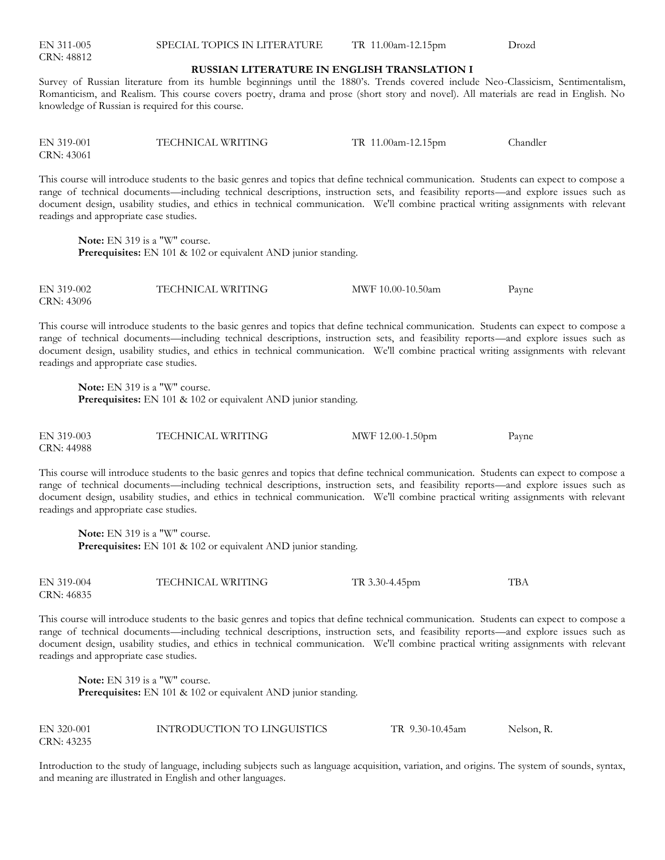| EN 311-005<br>CRN: 48812 | SPECIAL TOPICS IN LITERATURE                       | TR 11.00am-12.15pm | Drozd |
|--------------------------|----------------------------------------------------|--------------------|-------|
|                          | <b>RUSSIAN LITERATURE IN ENGLISH TRANSLATION I</b> |                    |       |

Survey of Russian literature from its humble beginnings until the 1880's. Trends covered include Neo-Classicism, Sentimentalism, Romanticism, and Realism. This course covers poetry, drama and prose (short story and novel). All materials are read in English. No knowledge of Russian is required for this course.

EN 319-001 TECHNICAL WRITING TR 11.00am-12.15pm Chandler CRN: 43061

This course will introduce students to the basic genres and topics that define technical communication. Students can expect to compose a range of technical documents—including technical descriptions, instruction sets, and feasibility reports—and explore issues such as document design, usability studies, and ethics in technical communication. We'll combine practical writing assignments with relevant readings and appropriate case studies.

**Note:** EN 319 is a "W" course. **Prerequisites:** EN 101 & 102 or equivalent AND junior standing.

EN 319-002 TECHNICAL WRITING MWF 10.00-10.50am Payne CRN: 43096

This course will introduce students to the basic genres and topics that define technical communication. Students can expect to compose a range of technical documents—including technical descriptions, instruction sets, and feasibility reports—and explore issues such as document design, usability studies, and ethics in technical communication. We'll combine practical writing assignments with relevant readings and appropriate case studies.

**Note:** EN 319 is a "W" course. **Prerequisites:** EN 101 & 102 or equivalent AND junior standing.

EN 319-003 TECHNICAL WRITING MWF 12.00-1.50pm Payne CRN: 44988

This course will introduce students to the basic genres and topics that define technical communication. Students can expect to compose a range of technical documents—including technical descriptions, instruction sets, and feasibility reports—and explore issues such as document design, usability studies, and ethics in technical communication. We'll combine practical writing assignments with relevant readings and appropriate case studies.

**Note:** EN 319 is a "W" course. **Prerequisites:** EN 101 & 102 or equivalent AND junior standing.

EN 319-004 TECHNICAL WRITING TR 3.30-4.45pm TBA CRN: 46835

This course will introduce students to the basic genres and topics that define technical communication. Students can expect to compose a range of technical documents—including technical descriptions, instruction sets, and feasibility reports—and explore issues such as document design, usability studies, and ethics in technical communication. We'll combine practical writing assignments with relevant readings and appropriate case studies.

**Note:** EN 319 is a "W" course. **Prerequisites:** EN 101 & 102 or equivalent AND junior standing.

| EN 320-001 | INTRODUCTION TO LINGUISTICS | TR 9.30-10.45am | Nelson, R. |
|------------|-----------------------------|-----------------|------------|
| CRN: 43235 |                             |                 |            |

Introduction to the study of language, including subjects such as language acquisition, variation, and origins. The system of sounds, syntax, and meaning are illustrated in English and other languages.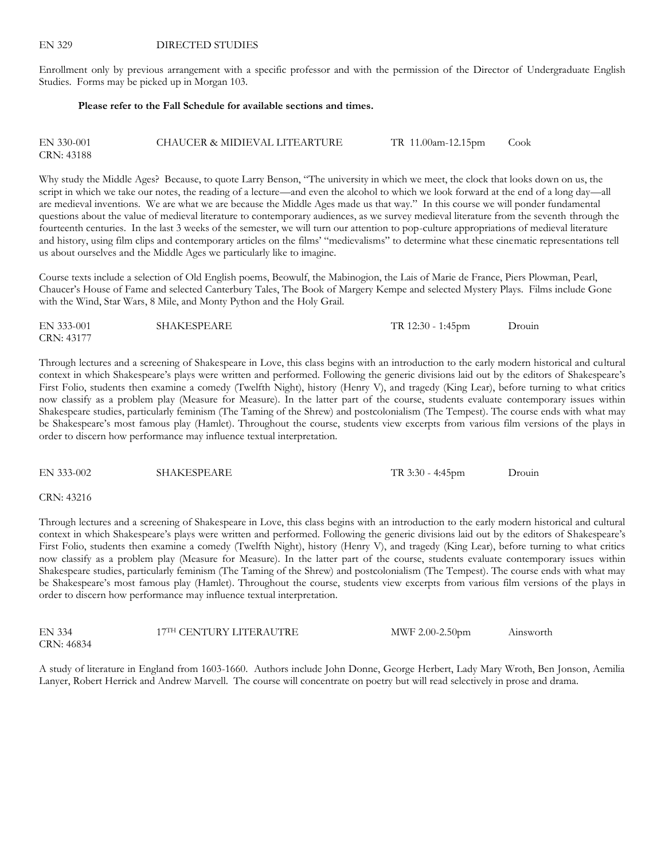Enrollment only by previous arrangement with a specific professor and with the permission of the Director of Undergraduate English Studies. Forms may be picked up in Morgan 103.

#### **Please refer to the Fall Schedule for available sections and times.**

| EN 330-001 | CHAUCER & MIDIEVAL LITEARTURE | TR 11.00am-12.15pm | Cook |
|------------|-------------------------------|--------------------|------|
| CRN: 43188 |                               |                    |      |

Why study the Middle Ages? Because, to quote Larry Benson, "The university in which we meet, the clock that looks down on us, the script in which we take our notes, the reading of a lecture—and even the alcohol to which we look forward at the end of a long day—all are medieval inventions. We are what we are because the Middle Ages made us that way." In this course we will ponder fundamental questions about the value of medieval literature to contemporary audiences, as we survey medieval literature from the seventh through the fourteenth centuries. In the last 3 weeks of the semester, we will turn our attention to pop-culture appropriations of medieval literature and history, using film clips and contemporary articles on the films' "medievalisms" to determine what these cinematic representations tell us about ourselves and the Middle Ages we particularly like to imagine.

Course texts include a selection of Old English poems, Beowulf, the Mabinogion, the Lais of Marie de France, Piers Plowman, Pearl, Chaucer's House of Fame and selected Canterbury Tales, The Book of Margery Kempe and selected Mystery Plays. Films include Gone with the Wind, Star Wars, 8 Mile, and Monty Python and the Holy Grail.

| EN 333-001 | <b>SHAKESPEARE</b> | TR 12:30 - 1:45pm | Drouin |
|------------|--------------------|-------------------|--------|
| CRN: 43177 |                    |                   |        |

Through lectures and a screening of Shakespeare in Love, this class begins with an introduction to the early modern historical and cultural context in which Shakespeare's plays were written and performed. Following the generic divisions laid out by the editors of Shakespeare's First Folio, students then examine a comedy (Twelfth Night), history (Henry V), and tragedy (King Lear), before turning to what critics now classify as a problem play (Measure for Measure). In the latter part of the course, students evaluate contemporary issues within Shakespeare studies, particularly feminism (The Taming of the Shrew) and postcolonialism (The Tempest). The course ends with what may be Shakespeare's most famous play (Hamlet). Throughout the course, students view excerpts from various film versions of the plays in order to discern how performance may influence textual interpretation.

EN 333-002 SHAKESPEARE TR 3:30 - 4:45pm Drouin

#### CRN: 43216

Through lectures and a screening of Shakespeare in Love, this class begins with an introduction to the early modern historical and cultural context in which Shakespeare's plays were written and performed. Following the generic divisions laid out by the editors of Shakespeare's First Folio, students then examine a comedy (Twelfth Night), history (Henry V), and tragedy (King Lear), before turning to what critics now classify as a problem play (Measure for Measure). In the latter part of the course, students evaluate contemporary issues within Shakespeare studies, particularly feminism (The Taming of the Shrew) and postcolonialism (The Tempest). The course ends with what may be Shakespeare's most famous play (Hamlet). Throughout the course, students view excerpts from various film versions of the plays in order to discern how performance may influence textual interpretation.

| EN 334     | 17TH CENTURY LITERAUTRE | MWF 2.00-2.50pm | Ainsworth |
|------------|-------------------------|-----------------|-----------|
| CRN: 46834 |                         |                 |           |

A study of literature in England from 1603-1660. Authors include John Donne, George Herbert, Lady Mary Wroth, Ben Jonson, Aemilia Lanyer, Robert Herrick and Andrew Marvell. The course will concentrate on poetry but will read selectively in prose and drama.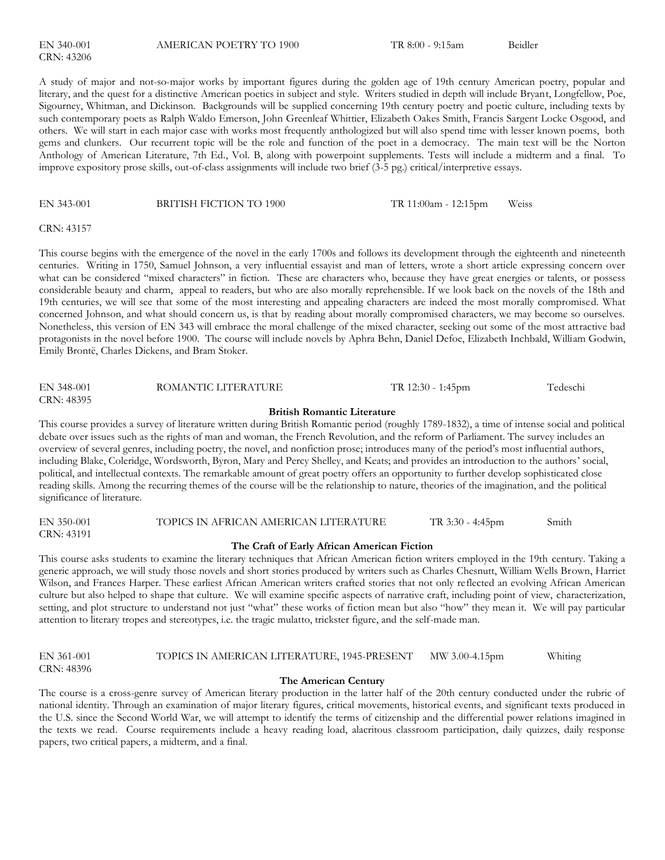A study of major and not-so-major works by important figures during the golden age of 19th century American poetry, popular and literary, and the quest for a distinctive American poetics in subject and style. Writers studied in depth will include Bryant, Longfellow, Poe, Sigourney, Whitman, and Dickinson. Backgrounds will be supplied concerning 19th century poetry and poetic culture, including texts by such contemporary poets as Ralph Waldo Emerson, John Greenleaf Whittier, Elizabeth Oakes Smith, Francis Sargent Locke Osgood, and others. We will start in each major case with works most frequently anthologized but will also spend time with lesser known poems, both gems and clunkers. Our recurrent topic will be the role and function of the poet in a democracy. The main text will be the Norton Anthology of American Literature, 7th Ed., Vol. B, along with powerpoint supplements. Tests will include a midterm and a final. To improve expository prose skills, out-of-class assignments will include two brief (3-5 pg.) critical/interpretive essays.

#### EN 343-001 BRITISH FICTION TO 1900 TR 11:00am - 12:15pm Weiss

CRN: 43157

This course begins with the emergence of the novel in the early 1700s and follows its development through the eighteenth and nineteenth centuries. Writing in 1750, Samuel Johnson, a very influential essayist and man of letters, wrote a short article expressing concern over what can be considered "mixed characters" in fiction. These are characters who, because they have great energies or talents, or possess considerable beauty and charm, appeal to readers, but who are also morally reprehensible. If we look back on the novels of the 18th and 19th centuries, we will see that some of the most interesting and appealing characters are indeed the most morally compromised. What concerned Johnson, and what should concern us, is that by reading about morally compromised characters, we may become so ourselves. Nonetheless, this version of EN 343 will embrace the moral challenge of the mixed character, seeking out some of the most attractive bad protagonists in the novel before 1900. The course will include novels by Aphra Behn, Daniel Defoe, Elizabeth Inchbald, William Godwin, Emily Brontë, Charles Dickens, and Bram Stoker.

| EN 348-001                         | ROMANTIC LITERATURE | TR 12:30 - 1:45pm | Tedeschi |  |  |
|------------------------------------|---------------------|-------------------|----------|--|--|
| CRN: 48395                         |                     |                   |          |  |  |
| <b>British Romantic Literature</b> |                     |                   |          |  |  |

This course provides a survey of literature written during British Romantic period (roughly 1789-1832), a time of intense social and political debate over issues such as the rights of man and woman, the French Revolution, and the reform of Parliament. The survey includes an overview of several genres, including poetry, the novel, and nonfiction prose; introduces many of the period's most influential authors, including Blake, Coleridge, Wordsworth, Byron, Mary and Percy Shelley, and Keats; and provides an introduction to the authors' social, political, and intellectual contexts. The remarkable amount of great poetry offers an opportunity to further develop sophisticated close reading skills. Among the recurring themes of the course will be the relationship to nature, theories of the imagination, and the political significance of literature.

#### EN 350-001 TOPICS IN AFRICAN AMERICAN LITERATURE TR 3:30 - 4:45pm Smith CRN: 43191

#### **The Craft of Early African American Fiction**

This course asks students to examine the literary techniques that African American fiction writers employed in the 19th century. Taking a generic approach, we will study those novels and short stories produced by writers such as Charles Chesnutt, William Wells Brown, Harriet Wilson, and Frances Harper. These earliest African American writers crafted stories that not only reflected an evolving African American culture but also helped to shape that culture. We will examine specific aspects of narrative craft, including point of view, characterization, setting, and plot structure to understand not just "what" these works of fiction mean but also "how" they mean it. We will pay particular attention to literary tropes and stereotypes, i.e. the tragic mulatto, trickster figure, and the self-made man.

| EN 361-001 | TOPICS IN AMERICAN LITERATURE, 1945-PRESENT | MW 3.00-4.15pm | Whiting |
|------------|---------------------------------------------|----------------|---------|
| CRN: 48396 |                                             |                |         |

#### **The American Century**

The course is a cross-genre survey of American literary production in the latter half of the 20th century conducted under the rubric of national identity. Through an examination of major literary figures, critical movements, historical events, and significant texts produced in the U.S. since the Second World War, we will attempt to identify the terms of citizenship and the differential power relations imagined in the texts we read. Course requirements include a heavy reading load, alacritous classroom participation, daily quizzes, daily response papers, two critical papers, a midterm, and a final.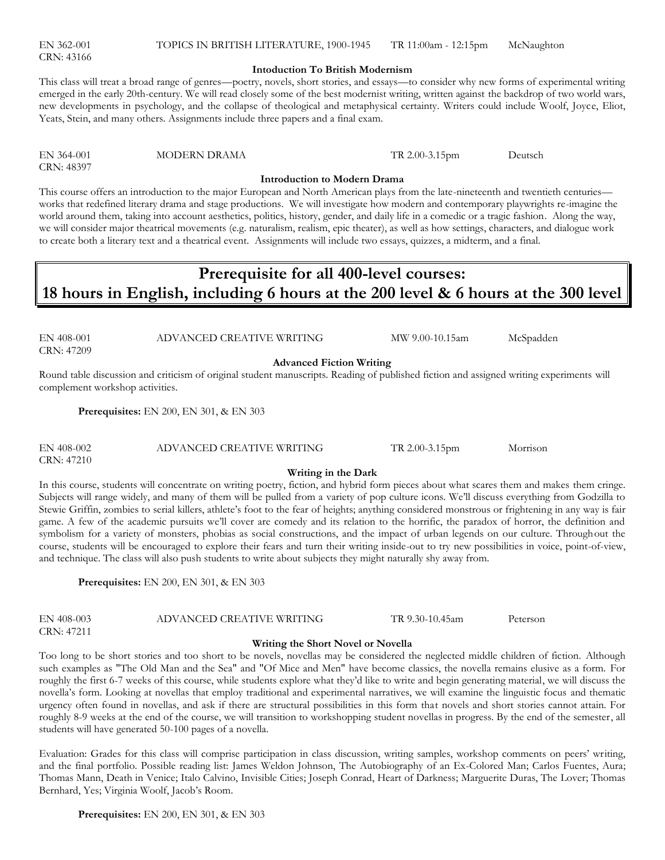EN 362-001 TOPICS IN BRITISH LITERATURE, 1900-1945 TR 11:00am - 12:15pm McNaughton

#### **Intoduction To British Modernism**

#### This class will treat a broad range of genres—poetry, novels, short stories, and essays—to consider why new forms of experimental writing emerged in the early 20th-century. We will read closely some of the best modernist writing, written against the backdrop of two world wars, new developments in psychology, and the collapse of theological and metaphysical certainty. Writers could include Woolf, Joyce, Eliot, Yeats, Stein, and many others. Assignments include three papers and a final exam.

| EN 364-001 |  |  |
|------------|--|--|
| CRN: 48397 |  |  |

MODERN DRAMA TR 2.00-3.15pm Deutsch

**Introduction to Modern Drama**

This course offers an introduction to the major European and North American plays from the late-nineteenth and twentieth centuries works that redefined literary drama and stage productions. We will investigate how modern and contemporary playwrights re-imagine the world around them, taking into account aesthetics, politics, history, gender, and daily life in a comedic or a tragic fashion. Along the way, we will consider major theatrical movements (e.g. naturalism, realism, epic theater), as well as how settings, characters, and dialogue work to create both a literary text and a theatrical event. Assignments will include two essays, quizzes, a midterm, and a final.

### **Prerequisite for all 400-level courses: 18 hours in English, including 6 hours at the 200 level & 6 hours at the 300 level**

CRN: 47209

EN 408-001 ADVANCED CREATIVE WRITING MW 9.00-10.15am McSpadden

**Advanced Fiction Writing**

Round table discussion and criticism of original student manuscripts. Reading of published fiction and assigned writing experiments will complement workshop activities.

**Prerequisites:** EN 200, EN 301, & EN 303

| EN 408-002 | ADVANCED CREATIVE WRITING | TR 2.00-3.15pm | Morrison |
|------------|---------------------------|----------------|----------|
| CRN: 47210 |                           |                |          |

#### **Writing in the Dark**

In this course, students will concentrate on writing poetry, fiction, and hybrid form pieces about what scares them and makes them cringe. Subjects will range widely, and many of them will be pulled from a variety of pop culture icons. We'll discuss everything from Godzilla to Stewie Griffin, zombies to serial killers, athlete's foot to the fear of heights; anything considered monstrous or frightening in any way is fair game. A few of the academic pursuits we'll cover are comedy and its relation to the horrific, the paradox of horror, the definition and symbolism for a variety of monsters, phobias as social constructions, and the impact of urban legends on our culture. Throughout the course, students will be encouraged to explore their fears and turn their writing inside-out to try new possibilities in voice, point-of-view, and technique. The class will also push students to write about subjects they might naturally shy away from.

**Prerequisites:** EN 200, EN 301, & EN 303

EN 408-003 ADVANCED CREATIVE WRITING TR 9.30-10.45am Peterson CRN: 47211

#### **Writing the Short Novel or Novella**

Too long to be short stories and too short to be novels, novellas may be considered the neglected middle children of fiction. Although such examples as "The Old Man and the Sea" and "Of Mice and Men" have become classics, the novella remains elusive as a form. For roughly the first 6-7 weeks of this course, while students explore what they'd like to write and begin generating material, we will discuss the novella's form. Looking at novellas that employ traditional and experimental narratives, we will examine the linguistic focus and thematic urgency often found in novellas, and ask if there are structural possibilities in this form that novels and short stories cannot attain. For roughly 8-9 weeks at the end of the course, we will transition to workshopping student novellas in progress. By the end of the semester, all students will have generated 50-100 pages of a novella.

Evaluation: Grades for this class will comprise participation in class discussion, writing samples, workshop comments on peers' writing, and the final portfolio. Possible reading list: James Weldon Johnson, The Autobiography of an Ex-Colored Man; Carlos Fuentes, Aura; Thomas Mann, Death in Venice; Italo Calvino, Invisible Cities; Joseph Conrad, Heart of Darkness; Marguerite Duras, The Lover; Thomas Bernhard, Yes; Virginia Woolf, Jacob's Room.

CRN: 43166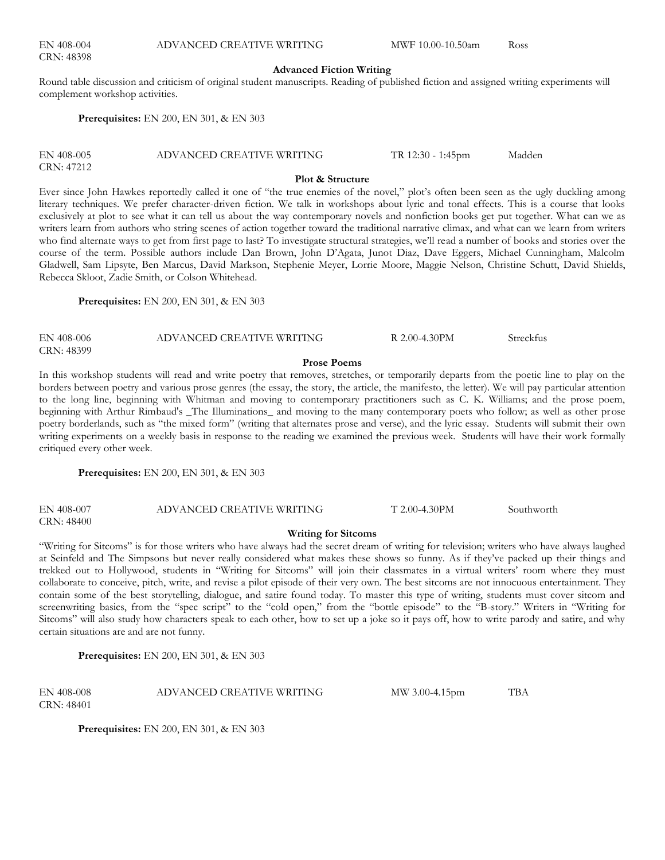#### **Advanced Fiction Writing**

Round table discussion and criticism of original student manuscripts. Reading of published fiction and assigned writing experiments will complement workshop activities.

**Prerequisites:** EN 200, EN 301, & EN 303

| EN 408-005 | ADVANCED CREATIVE WRITING | $TR 12:30 - 1:45$ pm | Madden |
|------------|---------------------------|----------------------|--------|
| CRN: 47212 |                           |                      |        |

#### **Plot & Structure**

Ever since John Hawkes reportedly called it one of "the true enemies of the novel," plot's often been seen as the ugly duckling among literary techniques. We prefer character-driven fiction. We talk in workshops about lyric and tonal effects. This is a course that looks exclusively at plot to see what it can tell us about the way contemporary novels and nonfiction books get put together. What can we as writers learn from authors who string scenes of action together toward the traditional narrative climax, and what can we learn from writers who find alternate ways to get from first page to last? To investigate structural strategies, we'll read a number of books and stories over the course of the term. Possible authors include Dan Brown, John D'Agata, Junot Diaz, Dave Eggers, Michael Cunningham, Malcolm Gladwell, Sam Lipsyte, Ben Marcus, David Markson, Stephenie Meyer, Lorrie Moore, Maggie Nelson, Christine Schutt, David Shields, Rebecca Skloot, Zadie Smith, or Colson Whitehead.

**Prerequisites:** EN 200, EN 301, & EN 303

| EN 408-006 | ADVANCED CREATIVE WRITING | R 2.00-4.30PM | Streckfus |
|------------|---------------------------|---------------|-----------|
| CRN: 48399 |                           |               |           |

#### **Prose Poems**

In this workshop students will read and write poetry that removes, stretches, or temporarily departs from the poetic line to play on the borders between poetry and various prose genres (the essay, the story, the article, the manifesto, the letter). We will pay particular attention to the long line, beginning with Whitman and moving to contemporary practitioners such as C. K. Williams; and the prose poem, beginning with Arthur Rimbaud's \_The Illuminations\_ and moving to the many contemporary poets who follow; as well as other prose poetry borderlands, such as "the mixed form" (writing that alternates prose and verse), and the lyric essay. Students will submit their own writing experiments on a weekly basis in response to the reading we examined the previous week. Students will have their work formally critiqued every other week.

**Prerequisites:** EN 200, EN 301, & EN 303

| EN 408-007 | ADVANCED CREATIVE WRITING | $T 2.00 - 4.30$ PM | Southworth |
|------------|---------------------------|--------------------|------------|
| CRN: 48400 |                           |                    |            |

### **Writing for Sitcoms**

―Writing for Sitcoms‖ is for those writers who have always had the secret dream of writing for television; writers who have always laughed at Seinfeld and The Simpsons but never really considered what makes these shows so funny. As if they've packed up their things and trekked out to Hollywood, students in "Writing for Sitcoms" will join their classmates in a virtual writers' room where they must collaborate to conceive, pitch, write, and revise a pilot episode of their very own. The best sitcoms are not innocuous entertainment. They contain some of the best storytelling, dialogue, and satire found today. To master this type of writing, students must cover sitcom and screenwriting basics, from the "spec script" to the "cold open," from the "bottle episode" to the "B-story." Writers in "Writing for Sitcoms" will also study how characters speak to each other, how to set up a joke so it pays off, how to write parody and satire, and why certain situations are and are not funny.

**Prerequisites:** EN 200, EN 301, & EN 303

| EN 408-008 | ADVANCED CREATIVE WRITING | MW 3.00-4.15pm | TBA |
|------------|---------------------------|----------------|-----|
| CRN: 48401 |                           |                |     |

**Prerequisites:** EN 200, EN 301, & EN 303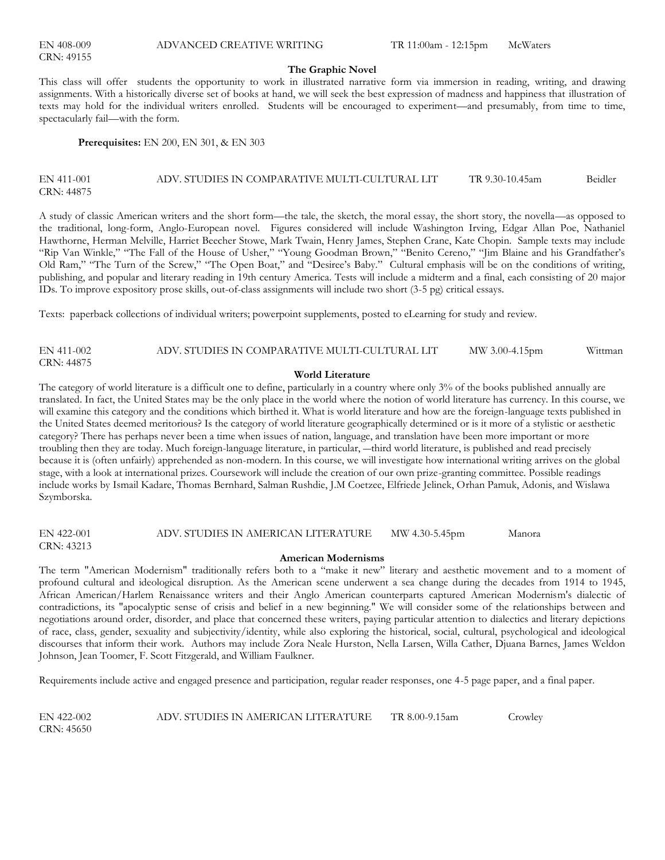| EN 408-009 |  |  |
|------------|--|--|
| CRN: 49155 |  |  |

#### **The Graphic Novel**

This class will offer students the opportunity to work in illustrated narrative form via immersion in reading, writing, and drawing assignments. With a historically diverse set of books at hand, we will seek the best expression of madness and happiness that illustration of texts may hold for the individual writers enrolled. Students will be encouraged to experiment—and presumably, from time to time, spectacularly fail—with the form.

**Prerequisites:** EN 200, EN 301, & EN 303

#### EN 411-001 ADV. STUDIES IN COMPARATIVE MULTI-CULTURAL LIT TR 9.30-10.45am Beidler CRN: 44875

A study of classic American writers and the short form—the tale, the sketch, the moral essay, the short story, the novella—as opposed to the traditional, long-form, Anglo-European novel. Figures considered will include Washington Irving, Edgar Allan Poe, Nathaniel Hawthorne, Herman Melville, Harriet Beecher Stowe, Mark Twain, Henry James, Stephen Crane, Kate Chopin. Sample texts may include "Rip Van Winkle," "The Fall of the House of Usher," "Young Goodman Brown," "Benito Cereno," "Jim Blaine and his Grandfather's Old Ram," "The Turn of the Screw," "The Open Boat," and "Desiree's Baby." Cultural emphasis will be on the conditions of writing, publishing, and popular and literary reading in 19th century America. Tests will include a midterm and a final, each consisting of 20 major IDs. To improve expository prose skills, out-of-class assignments will include two short (3-5 pg) critical essays.

Texts: paperback collections of individual writers; powerpoint supplements, posted to eLearning for study and review.

| EN 411-002 | ADV. STUDIES IN COMPARATIVE MULTI-CULTURAL LIT | MW 3.00-4.15pm | Wittman |
|------------|------------------------------------------------|----------------|---------|
| CRN: 44875 |                                                |                |         |

#### **World Literature**

The category of world literature is a difficult one to define, particularly in a country where only 3% of the books published annually are translated. In fact, the United States may be the only place in the world where the notion of world literature has currency. In this course, we will examine this category and the conditions which birthed it. What is world literature and how are the foreign-language texts published in the United States deemed meritorious? Is the category of world literature geographically determined or is it more of a stylistic or aesthetic category? There has perhaps never been a time when issues of nation, language, and translation have been more important or more troubling then they are today. Much foreign-language literature, in particular, ―third world literature, is published and read precisely because it is (often unfairly) apprehended as non-modern. In this course, we will investigate how international writing arrives on the global stage, with a look at international prizes. Coursework will include the creation of our own prize-granting committee. Possible readings include works by Ismail Kadare, Thomas Bernhard, Salman Rushdie, J.M Coetzee, Elfriede Jelinek, Orhan Pamuk, Adonis, and Wislawa Szymborska.

EN 422-001 ADV. STUDIES IN AMERICAN LITERATURE MW 4.30-5.45pm Manora CRN: 43213

#### **American Modernisms**

The term "American Modernism" traditionally refers both to a "make it new" literary and aesthetic movement and to a moment of profound cultural and ideological disruption. As the American scene underwent a sea change during the decades from 1914 to 1945, African American/Harlem Renaissance writers and their Anglo American counterparts captured American Modernism's dialectic of contradictions, its "apocalyptic sense of crisis and belief in a new beginning." We will consider some of the relationships between and negotiations around order, disorder, and place that concerned these writers, paying particular attention to dialectics and literary depictions of race, class, gender, sexuality and subjectivity/identity, while also exploring the historical, social, cultural, psychological and ideological discourses that inform their work. Authors may include Zora Neale Hurston, Nella Larsen, Willa Cather, Djuana Barnes, James Weldon Johnson, Jean Toomer, F. Scott Fitzgerald, and William Faulkner.

Requirements include active and engaged presence and participation, regular reader responses, one 4-5 page paper, and a final paper.

EN 422-002 ADV. STUDIES IN AMERICAN LITERATURE TR 8.00-9.15am Crowley CRN: 45650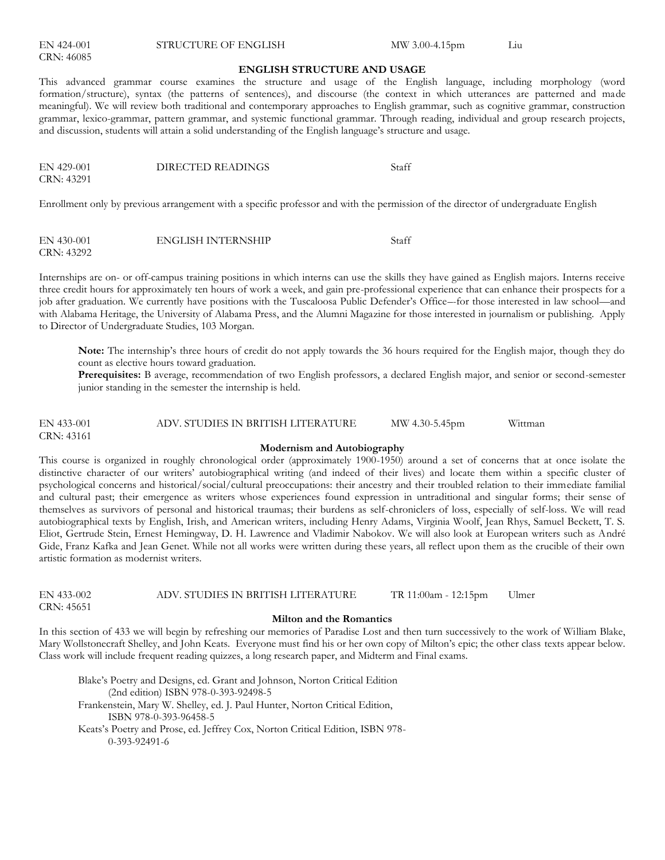|  | EN 424-001 |
|--|------------|
|  | CRN: 46085 |

STRUCTURE OF ENGLISH MW 3.00-4.15pm Liu

#### **ENGLISH STRUCTURE AND USAGE**

This advanced grammar course examines the structure and usage of the English language, including morphology (word formation/structure), syntax (the patterns of sentences), and discourse (the context in which utterances are patterned and made meaningful). We will review both traditional and contemporary approaches to English grammar, such as cognitive grammar, construction grammar, lexico-grammar, pattern grammar, and systemic functional grammar. Through reading, individual and group research projects, and discussion, students will attain a solid understanding of the English language's structure and usage.

| EN 429-001 | DIRECTED READINGS | Staff |
|------------|-------------------|-------|
| CRN: 43291 |                   |       |

Enrollment only by previous arrangement with a specific professor and with the permission of the director of undergraduate English

| EN 430-001 | <b>ENGLISH INTERNSHIP</b> | Staff |
|------------|---------------------------|-------|
| CRN: 43292 |                           |       |

Internships are on- or off-campus training positions in which interns can use the skills they have gained as English majors. Interns receive three credit hours for approximately ten hours of work a week, and gain pre-professional experience that can enhance their prospects for a job after graduation. We currently have positions with the Tuscaloosa Public Defender's Office–-for those interested in law school—and with Alabama Heritage, the University of Alabama Press, and the Alumni Magazine for those interested in journalism or publishing. Apply to Director of Undergraduate Studies, 103 Morgan.

**Note:** The internship's three hours of credit do not apply towards the 36 hours required for the English major, though they do count as elective hours toward graduation.

**Prerequisites:** B average, recommendation of two English professors, a declared English major, and senior or second-semester junior standing in the semester the internship is held.

EN 433-001 ADV. STUDIES IN BRITISH LITERATURE MW 4.30-5.45pm Wittman CRN: 43161

#### **Modernism and Autobiography**

This course is organized in roughly chronological order (approximately 1900-1950) around a set of concerns that at once isolate the distinctive character of our writers' autobiographical writing (and indeed of their lives) and locate them within a specific cluster of psychological concerns and historical/social/cultural preoccupations: their ancestry and their troubled relation to their immediate familial and cultural past; their emergence as writers whose experiences found expression in untraditional and singular forms; their sense of themselves as survivors of personal and historical traumas; their burdens as self-chroniclers of loss, especially of self-loss. We will read autobiographical texts by English, Irish, and American writers, including Henry Adams, Virginia Woolf, Jean Rhys, Samuel Beckett, T. S. Eliot, Gertrude Stein, Ernest Hemingway, D. H. Lawrence and Vladimir Nabokov. We will also look at European writers such as André Gide, Franz Kafka and Jean Genet. While not all works were written during these years, all reflect upon them as the crucible of their own artistic formation as modernist writers.

| $EN$ 433-002 | ADV. STUDIES IN BRITISH LITERATURE | TR 11:00am - 12:15pm | Ulmer |
|--------------|------------------------------------|----------------------|-------|
| CRN: 45651   |                                    |                      |       |

#### **Milton and the Romantics**

In this section of 433 we will begin by refreshing our memories of Paradise Lost and then turn successively to the work of William Blake, Mary Wollstonecraft Shelley, and John Keats. Everyone must find his or her own copy of Milton's epic; the other class texts appear below. Class work will include frequent reading quizzes, a long research paper, and Midterm and Final exams.

Blake's Poetry and Designs, ed. Grant and Johnson, Norton Critical Edition (2nd edition) ISBN 978-0-393-92498-5 Frankenstein, Mary W. Shelley, ed. J. Paul Hunter, Norton Critical Edition, ISBN 978-0-393-96458-5 Keats's Poetry and Prose, ed. Jeffrey Cox, Norton Critical Edition, ISBN 978- 0-393-92491-6